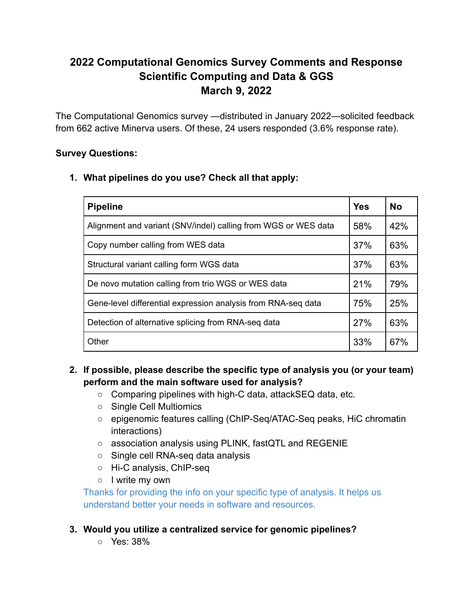# **2022 Computational Genomics Survey Comments and Response Scientific Computing and Data & GGS March 9, 2022**

The Computational Genomics survey —distributed in January 2022—solicited feedback from 662 active Minerva users. Of these, 24 users responded (3.6% response rate).

## **Survey Questions:**

**1. What pipelines do you use? Check all that apply:**

| <b>Pipeline</b>                                                | <b>Yes</b> | <b>No</b> |
|----------------------------------------------------------------|------------|-----------|
| Alignment and variant (SNV/indel) calling from WGS or WES data | 58%        | 42%       |
| Copy number calling from WES data                              | 37%        | 63%       |
| Structural variant calling form WGS data                       | 37%        | 63%       |
| De novo mutation calling from trio WGS or WES data             | 21%        | 79%       |
| Gene-level differential expression analysis from RNA-seq data  | 75%        | 25%       |
| Detection of alternative splicing from RNA-seq data            | 27%        | 63%       |
| Other                                                          | 33%        | 67%       |

- **2. If possible, please describe the specific type of analysis you (or your team) perform and the main software used for analysis?**
	- Comparing pipelines with high-C data, attackSEQ data, etc.
	- Single Cell Multiomics
	- epigenomic features calling (ChIP-Seq/ATAC-Seq peaks, HiC chromatin interactions)
	- association analysis using PLINK, fastQTL and REGENIE
	- Single cell RNA-seq data analysis
	- Hi-C analysis, ChIP-seq
	- I write my own

Thanks for providing the info on your specific type of analysis. It helps us understand better your needs in software and resources.

- **3. Would you utilize a centralized service for genomic pipelines?**
	- Yes: 38%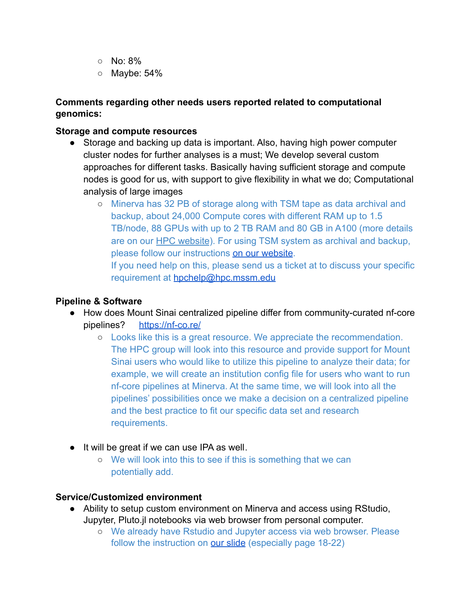- $\circ$  No: 8%
- Maybe: 54%

## **Comments regarding other needs users reported related to computational genomics:**

### **Storage and compute resources**

- Storage and backing up data is important. Also, having high power computer cluster nodes for further analyses is a must; We develop several custom approaches for different tasks. Basically having sufficient storage and compute nodes is good for us, with support to give flexibility in what we do; Computational analysis of large images
	- Minerva has 32 PB of storage along with TSM tape as data archival and backup, about 24,000 Compute cores with different RAM up to 1.5 TB/node, 88 GPUs with up to 2 TB RAM and 80 GB in A100 (more details are on our [HPC website](https://labs.icahn.mssm.edu/minervalab/resources/hardware-technical-specs/)). For using TSM system as archival and backup, please follow our instructions [on our website](https://labs.icahn.mssm.edu/minervalab/documentation/services/archiving-data/). If you need help on this, please send us a ticket at to discuss your specific

requirement at [hpchelp@hpc.mssm.e](mailto:hpchelp@hpc.mssm.edu)du

### **Pipeline & Software**

- How does Mount Sinai centralized pipeline differ from community-curated nf-core pipelines? <https://nf-co.re/>
	- Looks like this is a great resource. We appreciate the recommendation. The HPC group will look into this resource and provide support for Mount Sinai users who would like to utilize this pipeline to analyze their data; for example, we will create an institution config file for users who want to run nf-core pipelines at Minerva. At the same time, we will look into all the pipelines' possibilities once we make a decision on a centralized pipeline and the best practice to fit our specific data set and research requirements.
- It will be great if we can use IPA as well.
	- We will look into this to see if this is something that we can potentially add.

#### **Service/Customized environment**

- Ability to setup custom environment on Minerva and access using RStudio, Jupyter, Pluto.jl notebooks via web browser from personal computer.
	- We already have Rstudio and Jupyter access via web browser. Please follow the instruction on **[our slide](https://labs.icahn.mssm.edu/minervalab/wp-content/uploads/sites/342/2021/09/MinervaIntro_Sep15-2021-compressed.pdf)** (especially page 18-22)